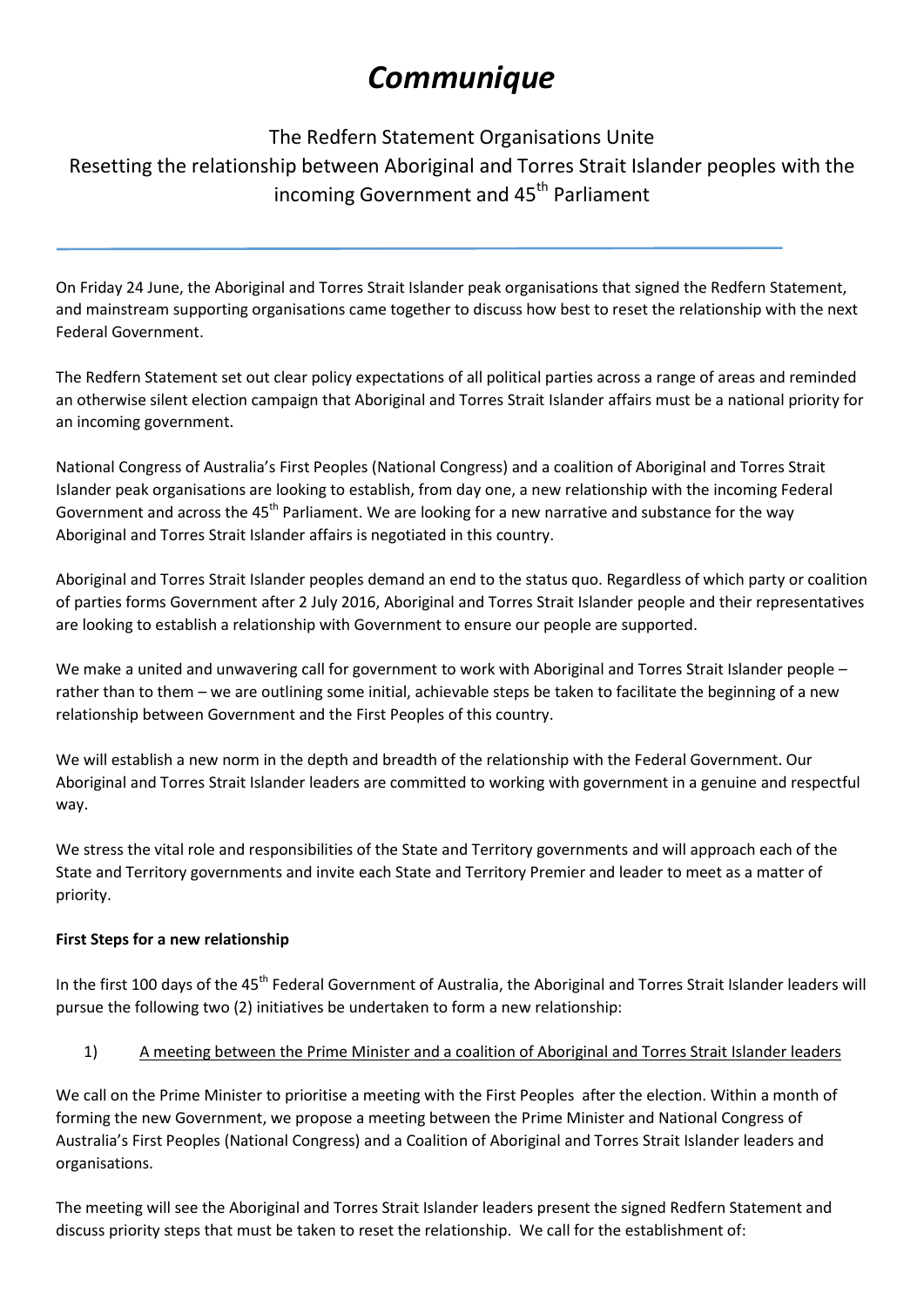# *Communique*

## The Redfern Statement Organisations Unite Resetting the relationship between Aboriginal and Torres Strait Islander peoples with the incoming Government and 45<sup>th</sup> Parliament

On Friday 24 June, the Aboriginal and Torres Strait Islander peak organisations that signed the Redfern Statement, and mainstream supporting organisations came together to discuss how best to reset the relationship with the next Federal Government.

The Redfern Statement set out clear policy expectations of all political parties across a range of areas and reminded an otherwise silent election campaign that Aboriginal and Torres Strait Islander affairs must be a national priority for an incoming government.

National Congress of Australia's First Peoples (National Congress) and a coalition of Aboriginal and Torres Strait Islander peak organisations are looking to establish, from day one, a new relationship with the incoming Federal Government and across the 45<sup>th</sup> Parliament. We are looking for a new narrative and substance for the way Aboriginal and Torres Strait Islander affairs is negotiated in this country.

Aboriginal and Torres Strait Islander peoples demand an end to the status quo. Regardless of which party or coalition of parties forms Government after 2 July 2016, Aboriginal and Torres Strait Islander people and their representatives are looking to establish a relationship with Government to ensure our people are supported.

We make a united and unwavering call for government to work with Aboriginal and Torres Strait Islander people – rather than to them – we are outlining some initial, achievable steps be taken to facilitate the beginning of a new relationship between Government and the First Peoples of this country.

We will establish a new norm in the depth and breadth of the relationship with the Federal Government. Our Aboriginal and Torres Strait Islander leaders are committed to working with government in a genuine and respectful way.

We stress the vital role and responsibilities of the State and Territory governments and will approach each of the State and Territory governments and invite each State and Territory Premier and leader to meet as a matter of priority.

### **First Steps for a new relationship**

In the first 100 days of the 45<sup>th</sup> Federal Government of Australia, the Aboriginal and Torres Strait Islander leaders will pursue the following two (2) initiatives be undertaken to form a new relationship:

### 1) A meeting between the Prime Minister and a coalition of Aboriginal and Torres Strait Islander leaders

We call on the Prime Minister to prioritise a meeting with the First Peoples after the election. Within a month of forming the new Government, we propose a meeting between the Prime Minister and National Congress of Australia's First Peoples (National Congress) and a Coalition of Aboriginal and Torres Strait Islander leaders and organisations.

The meeting will see the Aboriginal and Torres Strait Islander leaders present the signed Redfern Statement and discuss priority steps that must be taken to reset the relationship. We call for the establishment of: